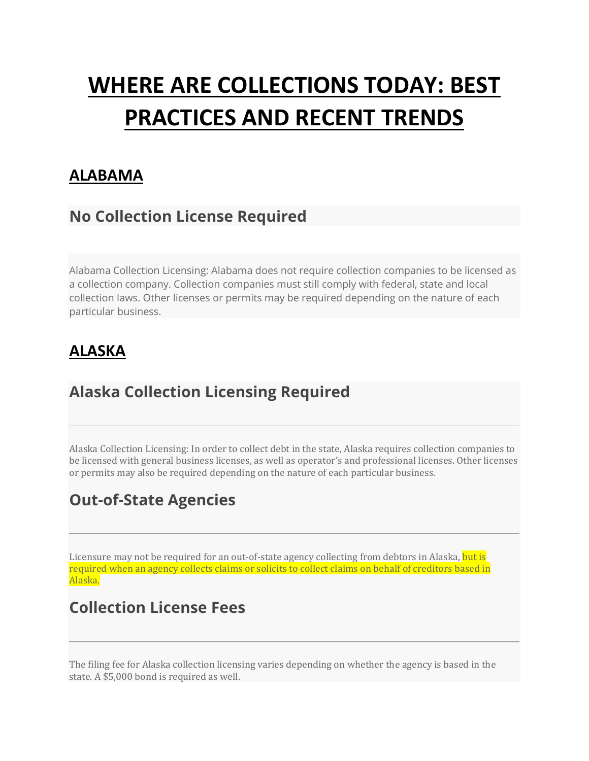# **WHERE ARE COLLECTIONS TODAY: BEST PRACTICES AND RECENT TRENDS**

#### **ALABAMA**

## **No Collection License Required**

Alabama Collection Licensing: Alabama does not require collection companies to be licensed as a collection company. Collection companies must still comply with federal, state and local collection laws. Other licenses or permits may be required depending on the nature of each particular business.

## **ALASKA**

## **Alaska Collection Licensing Required**

Alaska Collection Licensing: In order to collect debt in the state, Alaska requires collection companies to be licensed with general business licenses, as well as operator's and professional licenses. Other licenses or permits may also be required depending on the nature of each particular business.

## **Out-of-State Agencies**

Licensure may not be required for an out-of-state agency collecting from debtors in Alaska, but is required when an agency collects claims or solicits to collect claims on behalf of creditors based in Alaska.

### **Collection License Fees**

The filing fee for Alaska collection licensing varies depending on whether the agency is based in the state. A \$5,000 bond is required as well.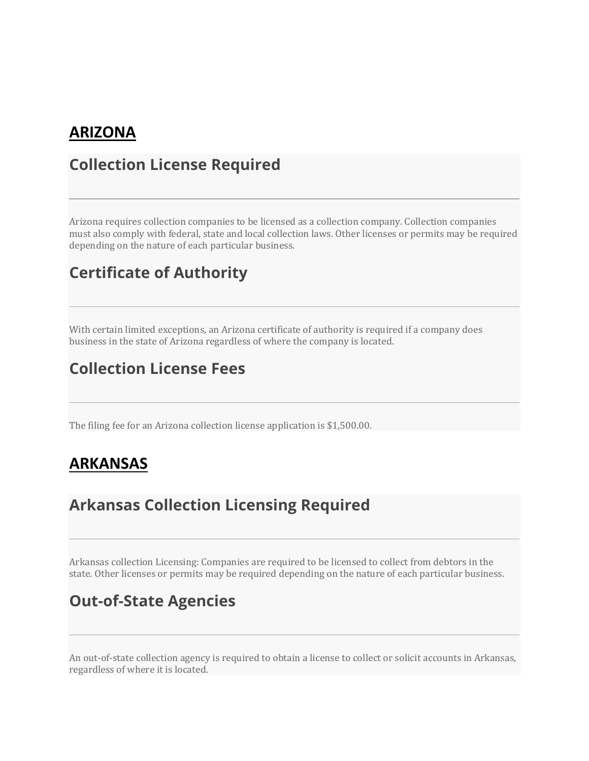#### **ARIZONA**

#### **Collection License Required**

Arizona requires collection companies to be licensed as a collection company. Collection companies must also comply with federal, state and local collection laws. Other licenses or permits may be required depending on the nature of each particular business.

#### **Certificate of Authority**

With certain limited exceptions, an Arizona certificate of authority is required if a company does business in the state of Arizona regardless of where the company is located.

## **Collection License Fees**

The filing fee for an Arizona collection license application is \$1,500.00.

#### **ARKANSAS**

### **Arkansas Collection Licensing Required**

Arkansas collection Licensing: Companies are required to be licensed to collect from debtors in the state. Other licenses or permits may be required depending on the nature of each particular business.

#### **Out-of-State Agencies**

An out-of-state collection agency is required to obtain a license to collect or solicit accounts in Arkansas, regardless of where it is located.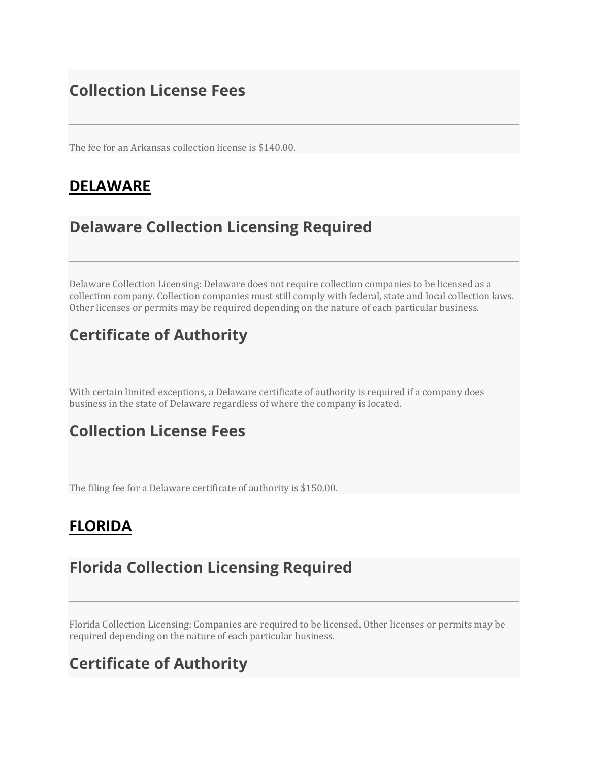## **Collection License Fees**

The fee for an Arkansas collection license is \$140.00.

#### **DELAWARE**

## **Delaware Collection Licensing Required**

Delaware Collection Licensing: Delaware does not require collection companies to be licensed as a collection company. Collection companies must still comply with federal, state and local collection laws. Other licenses or permits may be required depending on the nature of each particular business.

## **Certificate of Authority**

With certain limited exceptions, a Delaware certificate of authority is required if a company does business in the state of Delaware regardless of where the company is located.

## **Collection License Fees**

The filing fee for a Delaware certificate of authority is \$150.00.

## **FLORIDA**

### **Florida Collection Licensing Required**

Florida Collection Licensing: Companies are required to be licensed. Other licenses or permits may be required depending on the nature of each particular business.

## **Certificate of Authority**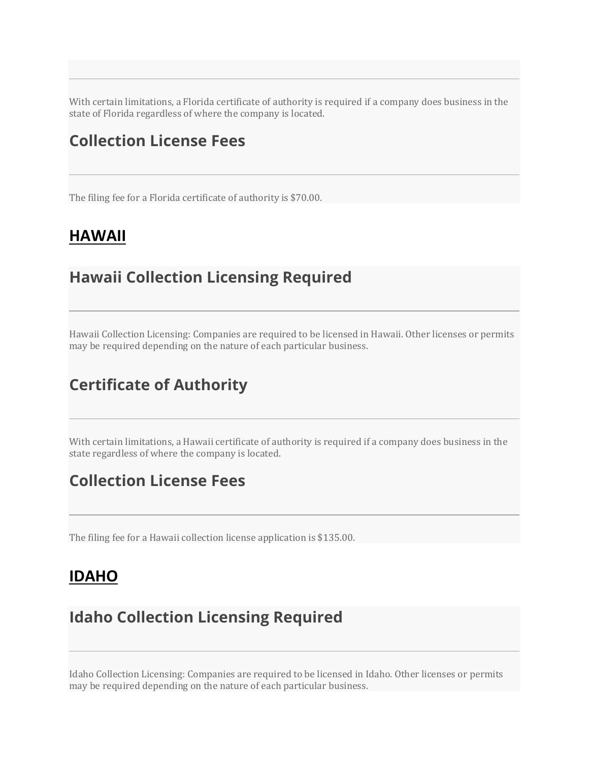With certain limitations, a Florida certificate of authority is required if a company does business in the state of Florida regardless of where the company is located.

### **Collection License Fees**

The filing fee for a Florida certificate of authority is \$70.00.

#### **HAWAII**

#### **Hawaii Collection Licensing Required**

Hawaii Collection Licensing: Companies are required to be licensed in Hawaii. Other licenses or permits may be required depending on the nature of each particular business.

#### **Certificate of Authority**

With certain limitations, a Hawaii certificate of authority is required if a company does business in the state regardless of where the company is located.

#### **Collection License Fees**

The filing fee for a Hawaii collection license application is \$135.00.

#### **IDAHO**

#### **Idaho Collection Licensing Required**

Idaho Collection Licensing: Companies are required to be licensed in Idaho. Other licenses or permits may be required depending on the nature of each particular business.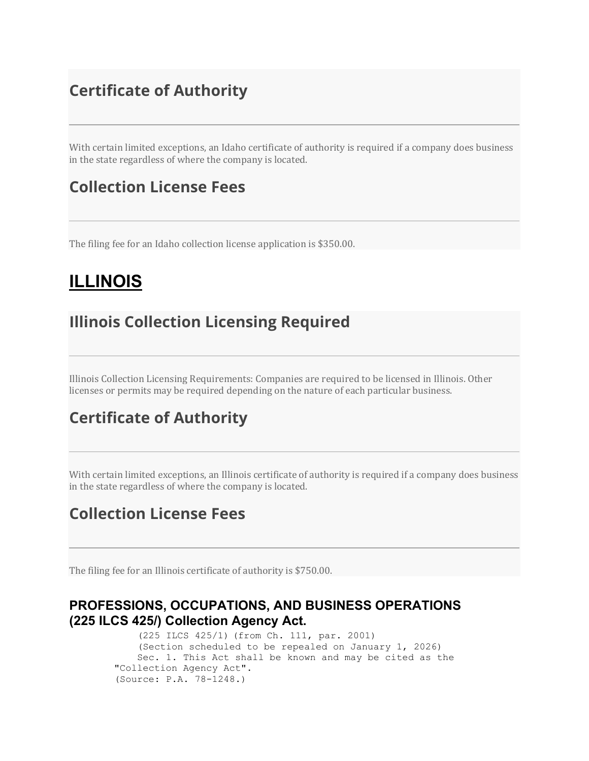## **Certificate of Authority**

With certain limited exceptions, an Idaho certificate of authority is required if a company does business in the state regardless of where the company is located.

#### **Collection License Fees**

The filing fee for an Idaho collection license application is \$350.00.

## **ILLINOIS**

#### **Illinois Collection Licensing Required**

Illinois Collection Licensing Requirements: Companies are required to be licensed in Illinois. Other licenses or permits may be required depending on the nature of each particular business.

### **Certificate of Authority**

With certain limited exceptions, an Illinois certificate of authority is required if a company does business in the state regardless of where the company is located.

### **Collection License Fees**

The filing fee for an Illinois certificate of authority is \$750.00.

#### **PROFESSIONS, OCCUPATIONS, AND BUSINESS OPERATIONS (225 ILCS 425/) Collection Agency Act.**

 (225 ILCS 425/1) (from Ch. 111, par. 2001) (Section scheduled to be repealed on January 1, 2026) Sec. 1. This Act shall be known and may be cited as the "Collection Agency Act". (Source: P.A. 78-1248.)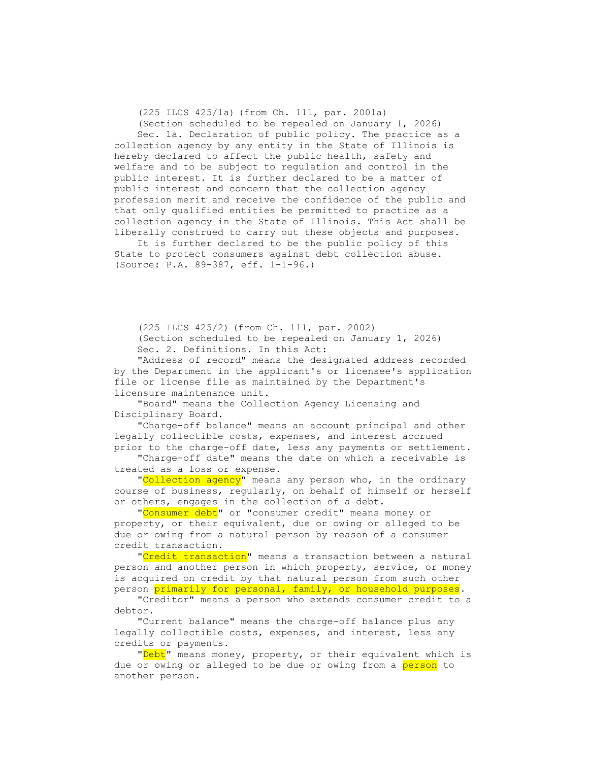(225 ILCS 425/1a) (from Ch. 111, par. 2001a)

 (Section scheduled to be repealed on January 1, 2026) Sec. 1a. Declaration of public policy. The practice as a collection agency by any entity in the State of Illinois is hereby declared to affect the public health, safety and welfare and to be subject to regulation and control in the public interest. It is further declared to be a matter of public interest and concern that the collection agency profession merit and receive the confidence of the public and that only qualified entities be permitted to practice as a collection agency in the State of Illinois. This Act shall be liberally construed to carry out these objects and purposes.

 It is further declared to be the public policy of this State to protect consumers against debt collection abuse. (Source: P.A. 89-387, eff. 1-1-96.)

 (225 ILCS 425/2) (from Ch. 111, par. 2002) (Section scheduled to be repealed on January 1, 2026) Sec. 2. Definitions. In this Act:

 "Address of record" means the designated address recorded by the Department in the applicant's or licensee's application file or license file as maintained by the Department's licensure maintenance unit.

 "Board" means the Collection Agency Licensing and Disciplinary Board.

 "Charge-off balance" means an account principal and other legally collectible costs, expenses, and interest accrued prior to the charge-off date, less any payments or settlement.

 "Charge-off date" means the date on which a receivable is treated as a loss or expense.

"Collection agency" means any person who, in the ordinary course of business, regularly, on behalf of himself or herself or others, engages in the collection of a debt.

"Consumer debt" or "consumer credit" means money or property, or their equivalent, due or owing or alleged to be due or owing from a natural person by reason of a consumer credit transaction.

"Credit transaction" means a transaction between a natural person and another person in which property, service, or money is acquired on credit by that natural person from such other person primarily for personal, family, or household purposes.

 "Creditor" means a person who extends consumer credit to a debtor.

 "Current balance" means the charge-off balance plus any legally collectible costs, expenses, and interest, less any credits or payments.

"<mark>Debt</mark>" means money, property, or their equivalent which is due or owing or alleged to be due or owing from a person to another person.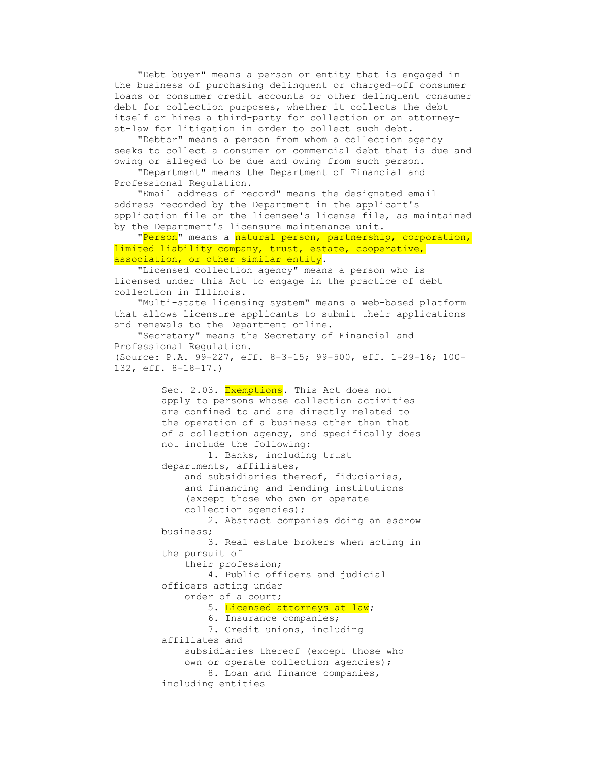"Debt buyer" means a person or entity that is engaged in the business of purchasing delinquent or charged-off consumer loans or consumer credit accounts or other delinquent consumer debt for collection purposes, whether it collects the debt itself or hires a third-party for collection or an attorneyat-law for litigation in order to collect such debt.

 "Debtor" means a person from whom a collection agency seeks to collect a consumer or commercial debt that is due and owing or alleged to be due and owing from such person.

 "Department" means the Department of Financial and Professional Regulation.

 "Email address of record" means the designated email address recorded by the Department in the applicant's application file or the licensee's license file, as maintained by the Department's licensure maintenance unit.

"Person" means a natural person, partnership, corporation, limited liability company, trust, estate, cooperative, association, or other similar entity.

 "Licensed collection agency" means a person who is licensed under this Act to engage in the practice of debt collection in Illinois.

 "Multi-state licensing system" means a web-based platform that allows licensure applicants to submit their applications and renewals to the Department online.

 "Secretary" means the Secretary of Financial and Professional Regulation. (Source: P.A. 99-227, eff. 8-3-15; 99-500, eff. 1-29-16; 100- 132, eff. 8-18-17.)

> Sec. 2.03. Exemptions. This Act does not apply to persons whose collection activities are confined to and are directly related to the operation of a business other than that of a collection agency, and specifically does not include the following: 1. Banks, including trust departments, affiliates, and subsidiaries thereof, fiduciaries, and financing and lending institutions (except those who own or operate collection agencies); 2. Abstract companies doing an escrow business; 3. Real estate brokers when acting in the pursuit of their profession; 4. Public officers and judicial officers acting under order of a court; 5. Licensed attorneys at law; 6. Insurance companies; 7. Credit unions, including affiliates and subsidiaries thereof (except those who own or operate collection agencies); 8. Loan and finance companies, including entities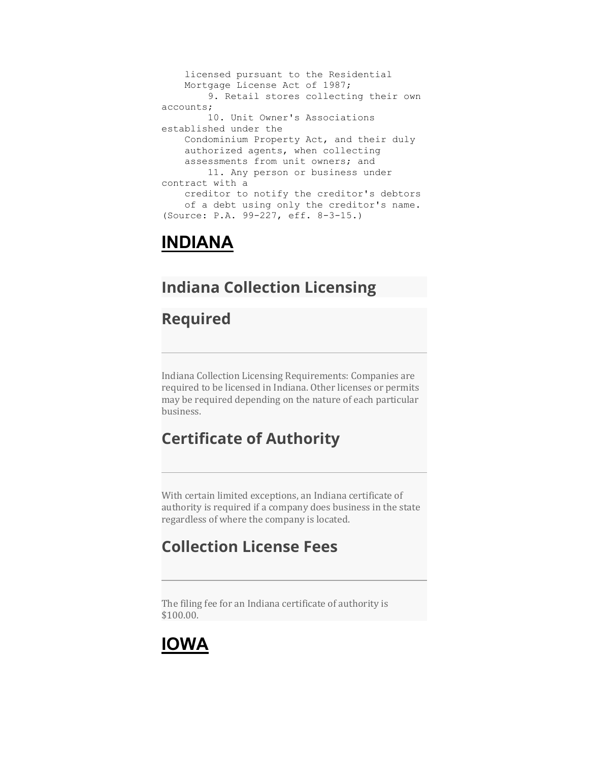licensed pursuant to the Residential Mortgage License Act of 1987; 9. Retail stores collecting their own accounts; 10. Unit Owner's Associations established under the Condominium Property Act, and their duly authorized agents, when collecting assessments from unit owners; and 11. Any person or business under contract with a creditor to notify the creditor's debtors of a debt using only the creditor's name. (Source: P.A. 99-227, eff. 8-3-15.)

## **INDIANA**

## **Indiana Collection Licensing**

### **Required**

Indiana Collection Licensing Requirements: Companies are required to be licensed in Indiana. Other licenses or permits may be required depending on the nature of each particular business.

## **Certificate of Authority**

With certain limited exceptions, an Indiana certificate of authority is required if a company does business in the state regardless of where the company is located.

## **Collection License Fees**

The filing fee for an Indiana certificate of authority is \$100.00.

## **IOWA**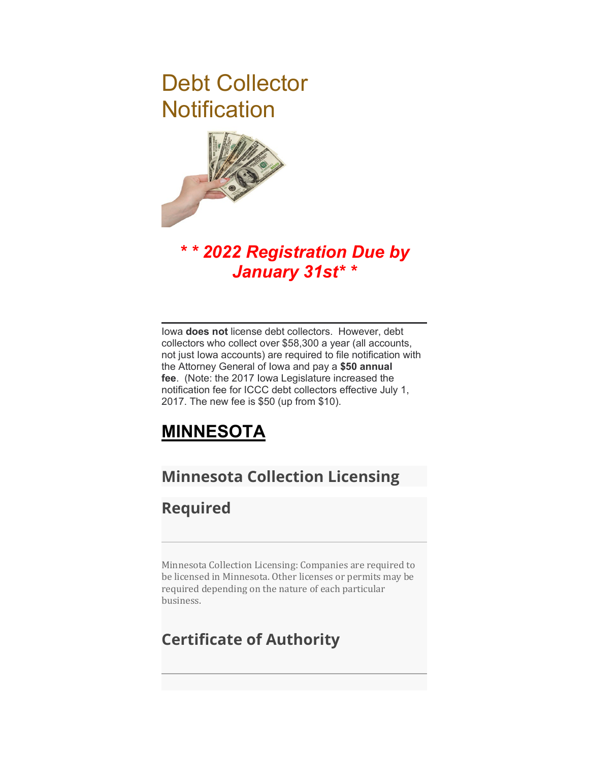# Debt Collector **Notification**



## *\* \* 2022 Registration Due by January 31st\* \**

Iowa **does not** license debt collectors. However, debt collectors who collect over \$58,300 a year (all accounts, not just Iowa accounts) are required to file notification with the Attorney General of Iowa and pay a **\$50 annual fee**. (Note: the 2017 Iowa Legislature increased the notification fee for ICCC debt collectors effective July 1, 2017. The new fee is \$50 (up from \$10).

## **MINNESOTA**

## **Minnesota Collection Licensing**

### **Required**

Minnesota Collection Licensing: Companies are required to be licensed in Minnesota. Other licenses or permits may be required depending on the nature of each particular business.

## **Certificate of Authority**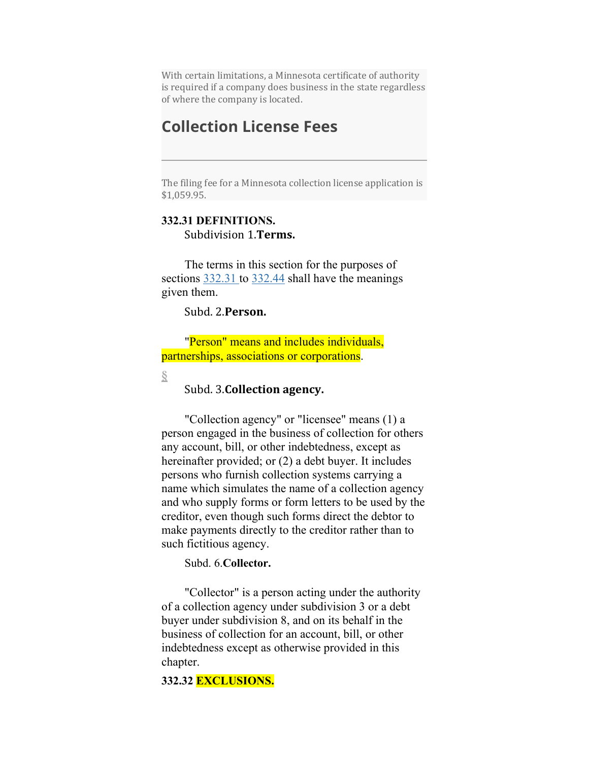With certain limitations, a Minnesota certificate of authority is required if a company does business in the state regardless of where the company is located.

#### **Collection License Fees**

The filing fee for a Minnesota collection license application is \$1,059.95.

#### **332.31 DEFINITIONS.** Subdivision 1.**Terms.**

The terms in this section for the purposes of sections  $332.31$  to  $332.44$  shall have the meanings given them.

Subd. 2.**Person.**

"Person" means and includes individuals, partnerships, associations or corporations.

**[§](https://www.revisor.mn.gov/statutes/cite/332.31#stat.332.31.3)**

#### Subd. 3.**Collection agency.**

"Collection agency" or "licensee" means (1) a person engaged in the business of collection for others any account, bill, or other indebtedness, except as hereinafter provided; or (2) a debt buyer. It includes persons who furnish collection systems carrying a name which simulates the name of a collection agency and who supply forms or form letters to be used by the creditor, even though such forms direct the debtor to make payments directly to the creditor rather than to such fictitious agency.

Subd. 6.**Collector.**

"Collector" is a person acting under the authority of a collection agency under subdivision 3 or a debt buyer under subdivision 8, and on its behalf in the business of collection for an account, bill, or other indebtedness except as otherwise provided in this chapter.

**332.32 EXCLUSIONS.**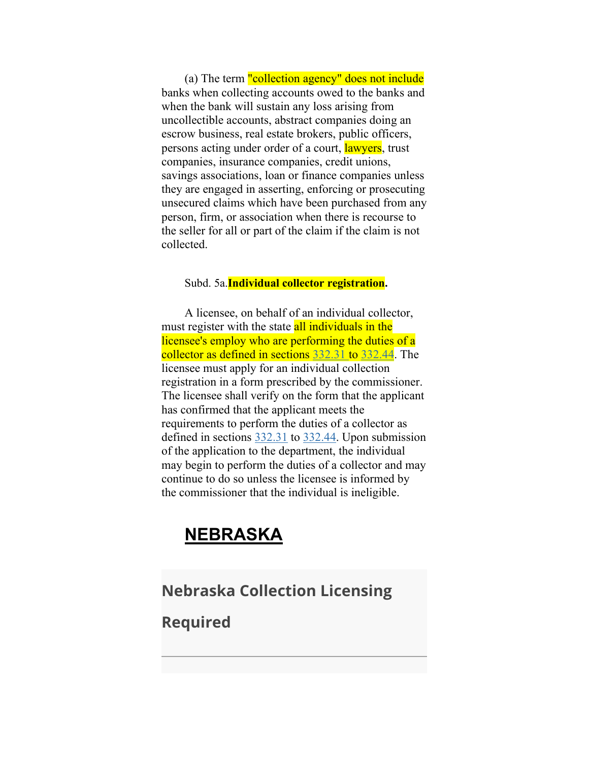(a) The term "collection agency" does not include banks when collecting accounts owed to the banks and when the bank will sustain any loss arising from uncollectible accounts, abstract companies doing an escrow business, real estate brokers, public officers, persons acting under order of a court, lawyers, trust companies, insurance companies, credit unions, savings associations, loan or finance companies unless they are engaged in asserting, enforcing or prosecuting unsecured claims which have been purchased from any person, firm, or association when there is recourse to the seller for all or part of the claim if the claim is not collected.

#### Subd. 5a.**Individual collector registration.**

A licensee, on behalf of an individual collector, must register with the state all individuals in the licensee's employ who are performing the duties of a collector as defined in sections [332.31 t](https://www.revisor.mn.gov/statutes/cite/332.31)o [332.44.](https://www.revisor.mn.gov/statutes/cite/332.44) The licensee must apply for an individual collection registration in a form prescribed by the commissioner. The licensee shall verify on the form that the applicant has confirmed that the applicant meets the requirements to perform the duties of a collector as defined in sections [332.31](https://www.revisor.mn.gov/statutes/cite/332.31) to [332.44.](https://www.revisor.mn.gov/statutes/cite/332.44) Upon submission of the application to the department, the individual may begin to perform the duties of a collector and may continue to do so unless the licensee is informed by the commissioner that the individual is ineligible.

### **NEBRASKA**

#### **Nebraska Collection Licensing**

**Required**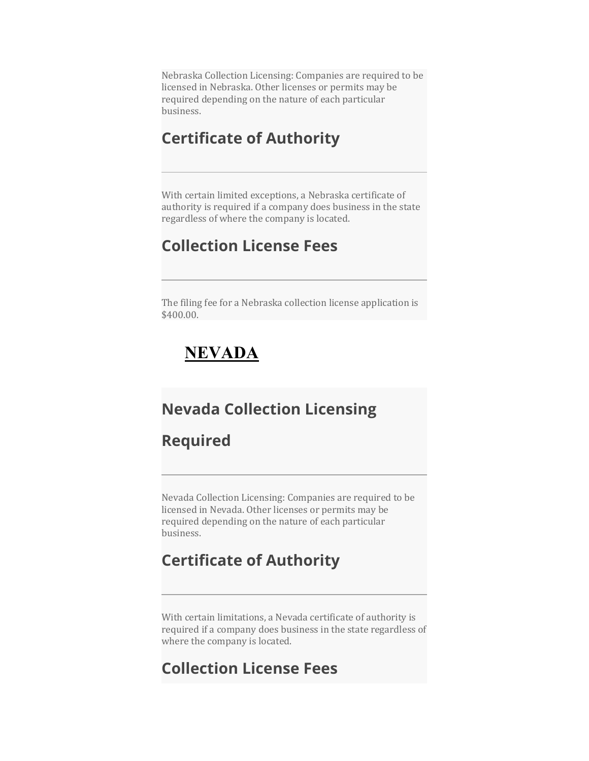Nebraska Collection Licensing: Companies are required to be licensed in Nebraska. Other licenses or permits may be required depending on the nature of each particular business.

#### **Certificate of Authority**

With certain limited exceptions, a Nebraska certificate of authority is required if a company does business in the state regardless of where the company is located.

#### **Collection License Fees**

The filing fee for a Nebraska collection license application is \$400.00.

## **NEVADA**

#### **Nevada Collection Licensing**

#### **Required**

Nevada Collection Licensing: Companies are required to be licensed in Nevada. Other licenses or permits may be required depending on the nature of each particular business.

### **Certificate of Authority**

With certain limitations, a Nevada certificate of authority is required if a company does business in the state regardless of where the company is located.

#### **Collection License Fees**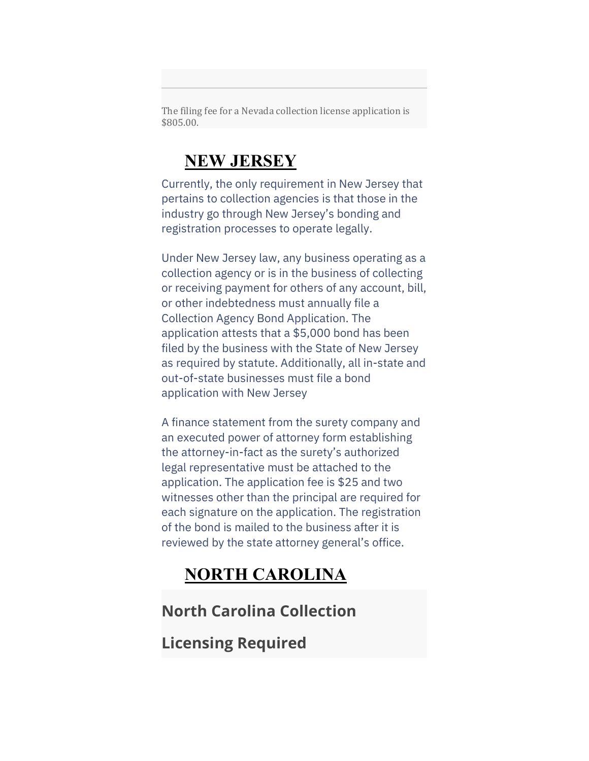The filing fee for a Nevada collection license application is \$805.00.

## **NEW JERSEY**

Currently, the only requirement in New Jersey that pertains to collection agencies is that those in the industry go through New Jersey's bonding and registration processes to operate legally.

Under New Jersey law, any business operating as a collection agency or is in the business of collecting or receiving payment for others of any account, bill, or other indebtedness must annually file a Collection Agency Bond Application. The application attests that a \$5,000 bond has been filed by the business with the State of New Jersey as required by statute. Additionally, all in-state and out-of-state businesses must file a bond application with New Jersey

A finance statement from the surety company and an executed power of attorney form establishing the attorney-in-fact as the surety's authorized legal representative must be attached to the application. The application fee is \$25 and two witnesses other than the principal are required for each signature on the application. The registration of the bond is mailed to the business after it is reviewed by the state attorney general's office.

## **NORTH CAROLINA**

### **North Carolina Collection**

**Licensing Required**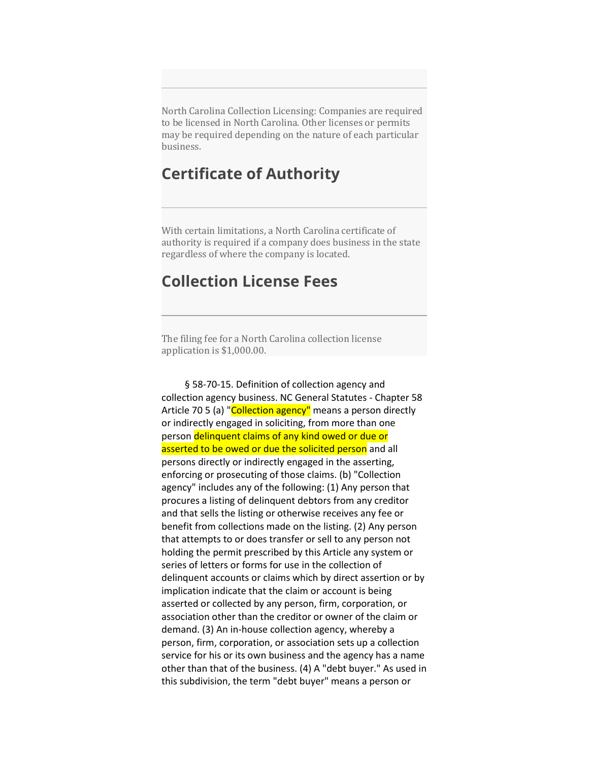North Carolina Collection Licensing: Companies are required to be licensed in North Carolina. Other licenses or permits may be required depending on the nature of each particular business.

#### **Certificate of Authority**

With certain limitations, a North Carolina certificate of authority is required if a company does business in the state regardless of where the company is located.

#### **Collection License Fees**

The filing fee for a North Carolina collection license application is \$1,000.00.

§ 58-70-15. Definition of collection agency and collection agency business. NC General Statutes - Chapter 58 Article 70 5 (a) "Collection agency" means a person directly or indirectly engaged in soliciting, from more than one person delinquent claims of any kind owed or due or asserted to be owed or due the solicited person and all persons directly or indirectly engaged in the asserting, enforcing or prosecuting of those claims. (b) "Collection agency" includes any of the following: (1) Any person that procures a listing of delinquent debtors from any creditor and that sells the listing or otherwise receives any fee or benefit from collections made on the listing. (2) Any person that attempts to or does transfer or sell to any person not holding the permit prescribed by this Article any system or series of letters or forms for use in the collection of delinquent accounts or claims which by direct assertion or by implication indicate that the claim or account is being asserted or collected by any person, firm, corporation, or association other than the creditor or owner of the claim or demand. (3) An in-house collection agency, whereby a person, firm, corporation, or association sets up a collection service for his or its own business and the agency has a name other than that of the business. (4) A "debt buyer." As used in this subdivision, the term "debt buyer" means a person or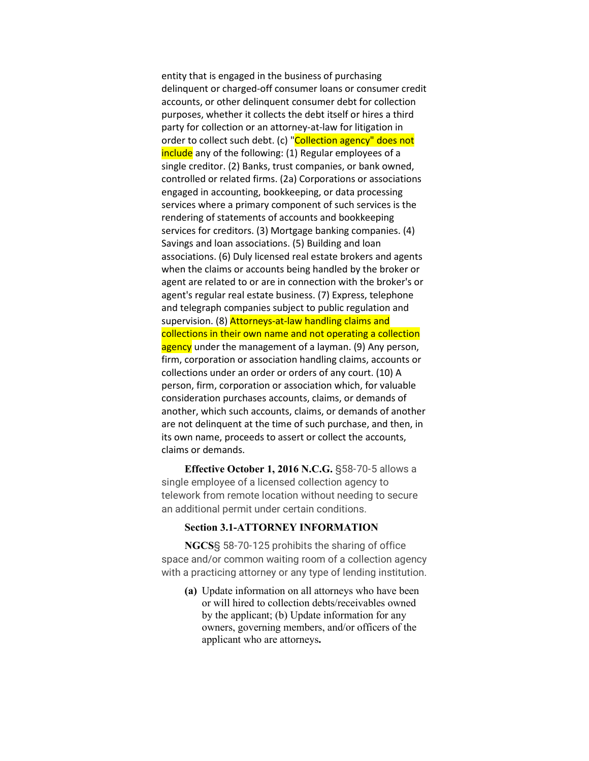entity that is engaged in the business of purchasing delinquent or charged-off consumer loans or consumer credit accounts, or other delinquent consumer debt for collection purposes, whether it collects the debt itself or hires a third party for collection or an attorney-at-law for litigation in order to collect such debt. (c) "Collection agency" does not include any of the following: (1) Regular employees of a single creditor. (2) Banks, trust companies, or bank owned, controlled or related firms. (2a) Corporations or associations engaged in accounting, bookkeeping, or data processing services where a primary component of such services is the rendering of statements of accounts and bookkeeping services for creditors. (3) Mortgage banking companies. (4) Savings and loan associations. (5) Building and loan associations. (6) Duly licensed real estate brokers and agents when the claims or accounts being handled by the broker or agent are related to or are in connection with the broker's or agent's regular real estate business. (7) Express, telephone and telegraph companies subject to public regulation and supervision. (8) Attorneys-at-law handling claims and collections in their own name and not operating a collection agency under the management of a layman. (9) Any person, firm, corporation or association handling claims, accounts or collections under an order or orders of any court. (10) A person, firm, corporation or association which, for valuable consideration purchases accounts, claims, or demands of another, which such accounts, claims, or demands of another are not delinquent at the time of such purchase, and then, in its own name, proceeds to assert or collect the accounts, claims or demands.

**Effective October 1, 2016 N.C.G.** §58-70-5 allows a single employee of a licensed collection agency to telework from remote location without needing to secure an additional permit under certain conditions.

#### **Section 3.1-ATTORNEY INFORMATION**

**NGCS**§ 58-70-125 prohibits the sharing of office space and/or common waiting room of a collection agency with a practicing attorney or any type of lending institution.

**(a)** Update information on all attorneys who have been or will hired to collection debts/receivables owned by the applicant; (b) Update information for any owners, governing members, and/or officers of the applicant who are attorneys**.**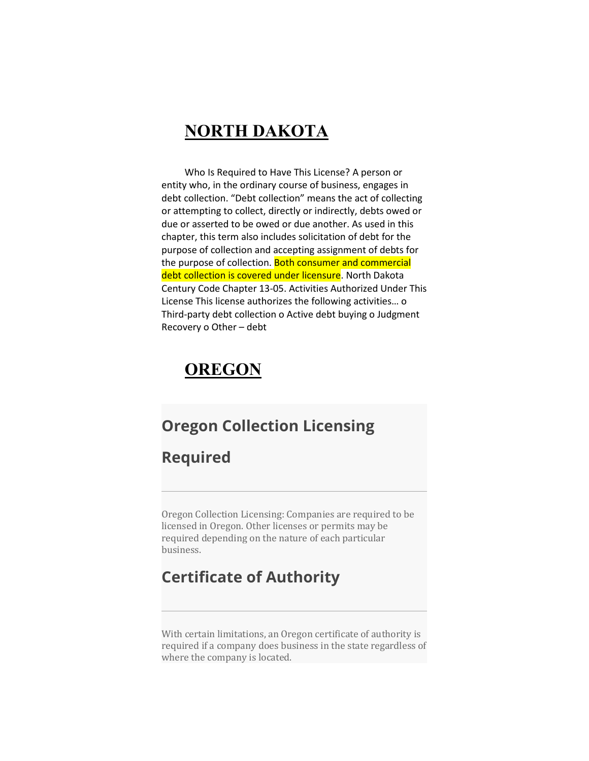#### **NORTH DAKOTA**

Who Is Required to Have This License? A person or entity who, in the ordinary course of business, engages in debt collection. "Debt collection" means the act of collecting or attempting to collect, directly or indirectly, debts owed or due or asserted to be owed or due another. As used in this chapter, this term also includes solicitation of debt for the purpose of collection and accepting assignment of debts for the purpose of collection. Both consumer and commercial debt collection is covered under licensure. North Dakota Century Code Chapter 13-05. Activities Authorized Under This License This license authorizes the following activities… o Third-party debt collection o Active debt buying o Judgment Recovery o Other – debt

## **OREGON**

#### **Oregon Collection Licensing**

#### **Required**

Oregon Collection Licensing: Companies are required to be licensed in Oregon. Other licenses or permits may be required depending on the nature of each particular business.

#### **Certificate of Authority**

With certain limitations, an Oregon certificate of authority is required if a company does business in the state regardless of where the company is located.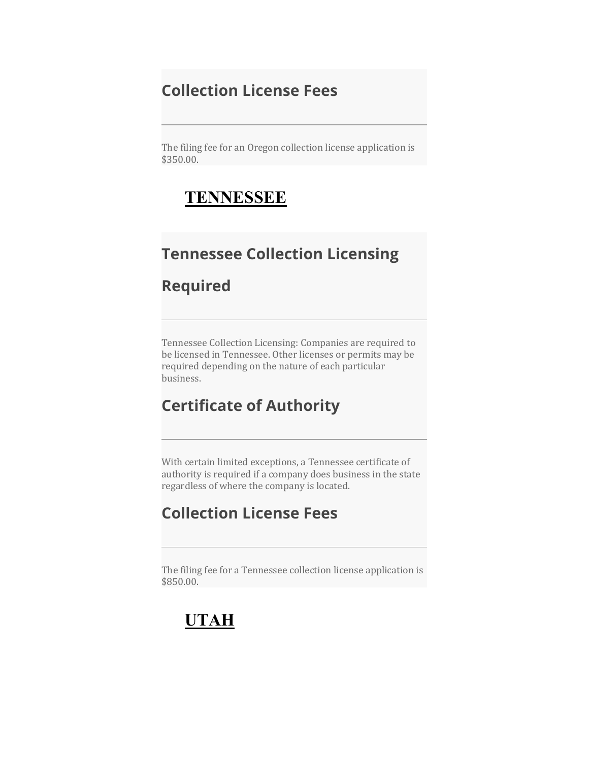### **Collection License Fees**

The filing fee for an Oregon collection license application is \$350.00.

### **TENNESSEE**

### **Tennessee Collection Licensing**

#### **Required**

Tennessee Collection Licensing: Companies are required to be licensed in Tennessee. Other licenses or permits may be required depending on the nature of each particular business.

### **Certificate of Authority**

With certain limited exceptions, a Tennessee certificate of authority is required if a company does business in the state regardless of where the company is located.

### **Collection License Fees**

The filing fee for a Tennessee collection license application is \$850.00.

## **UTAH**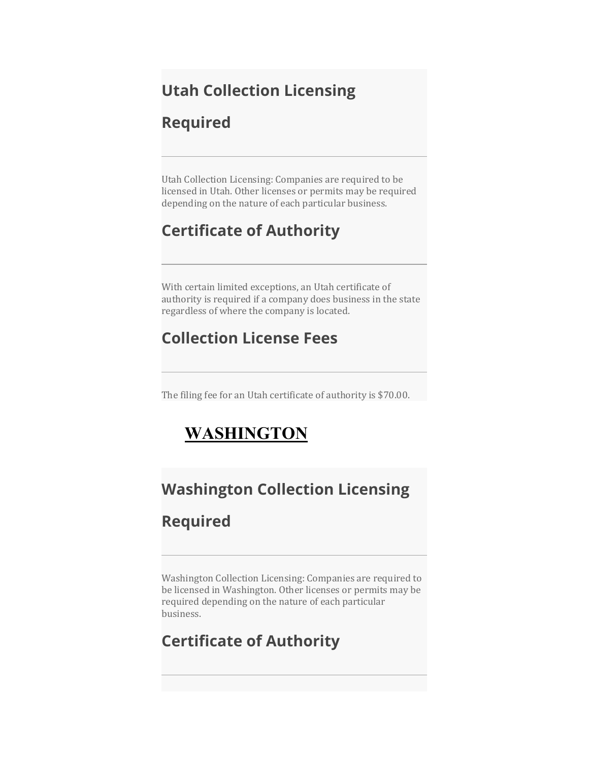## **Utah Collection Licensing**

#### **Required**

Utah Collection Licensing: Companies are required to be licensed in Utah. Other licenses or permits may be required depending on the nature of each particular business.

## **Certificate of Authority**

With certain limited exceptions, an Utah certificate of authority is required if a company does business in the state regardless of where the company is located.

## **Collection License Fees**

The filing fee for an Utah certificate of authority is \$70.00.

## **WASHINGTON**

## **Washington Collection Licensing**

## **Required**

Washington Collection Licensing: Companies are required to be licensed in Washington. Other licenses or permits may be required depending on the nature of each particular business.

## **Certificate of Authority**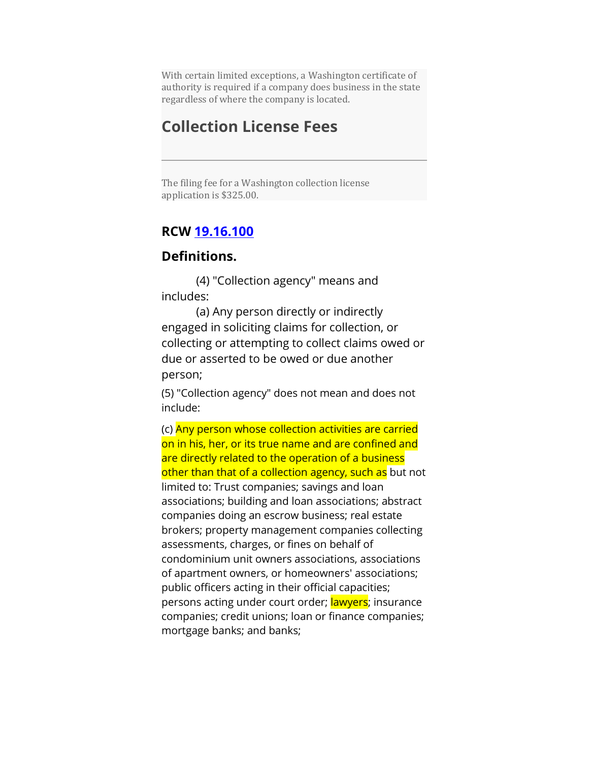With certain limited exceptions, a Washington certificate of authority is required if a company does business in the state regardless of where the company is located.

#### **Collection License Fees**

The filing fee for a Washington collection license application is \$325.00.

#### **RCW [19.16.100](http://app.leg.wa.gov/RCW/default.aspx?cite=19.16.100)**

#### **Definitions.**

(4) "Collection agency" means and includes:

(a) Any person directly or indirectly engaged in soliciting claims for collection, or collecting or attempting to collect claims owed or due or asserted to be owed or due another person;

(5) "Collection agency" does not mean and does not include:

(c) Any person whose collection activities are carried on in his, her, or its true name and are confined and are directly related to the operation of a business other than that of a collection agency, such as but not limited to: Trust companies; savings and loan associations; building and loan associations; abstract companies doing an escrow business; real estate brokers; property management companies collecting assessments, charges, or fines on behalf of condominium unit owners associations, associations of apartment owners, or homeowners' associations; public officers acting in their official capacities; persons acting under court order; lawyers; insurance companies; credit unions; loan or finance companies; mortgage banks; and banks;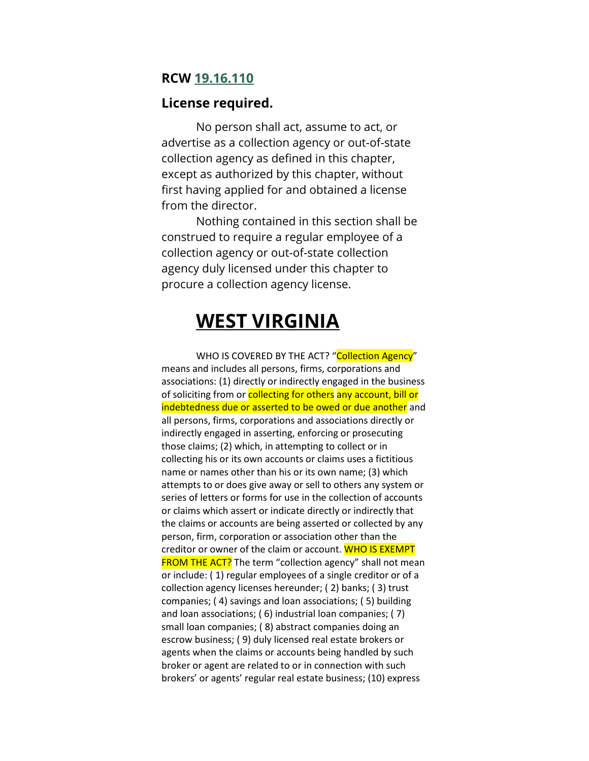#### **RCW [19.16.110](http://app.leg.wa.gov/RCW/default.aspx?cite=19.16.110)**

#### **License required.**

No person shall act, assume to act, or advertise as a collection agency or out-of-state collection agency as defined in this chapter, except as authorized by this chapter, without first having applied for and obtained a license from the director.

Nothing contained in this section shall be construed to require a regular employee of a collection agency or out-of-state collection agency duly licensed under this chapter to procure a collection agency license.

## **WEST VIRGINIA**

WHO IS COVERED BY THE ACT? "Collection Agency" means and includes all persons, firms, corporations and associations: (1) directly or indirectly engaged in the business of soliciting from or collecting for others any account, bill or indebtedness due or asserted to be owed or due another and all persons, firms, corporations and associations directly or indirectly engaged in asserting, enforcing or prosecuting those claims; (2) which, in attempting to collect or in collecting his or its own accounts or claims uses a fictitious name or names other than his or its own name; (3) which attempts to or does give away or sell to others any system or series of letters or forms for use in the collection of accounts or claims which assert or indicate directly or indirectly that the claims or accounts are being asserted or collected by any person, firm, corporation or association other than the creditor or owner of the claim or account. WHO IS EXEMPT **FROM THE ACT?** The term "collection agency" shall not mean or include: ( 1) regular employees of a single creditor or of a collection agency licenses hereunder; ( 2) banks; ( 3) trust companies; ( 4) savings and loan associations; ( 5) building and loan associations; ( 6) industrial loan companies; ( 7) small loan companies; ( 8) abstract companies doing an escrow business; ( 9) duly licensed real estate brokers or agents when the claims or accounts being handled by such broker or agent are related to or in connection with such brokers' or agents' regular real estate business; (10) express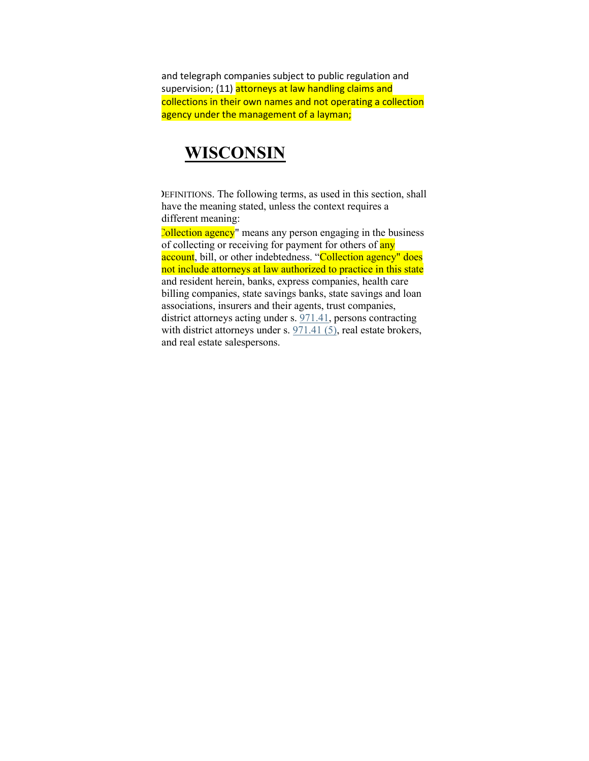and telegraph companies subject to public regulation and supervision; (11) attorneys at law handling claims and collections in their own names and not operating a collection agency under the management of a layman;

#### **WISCONSIN**

DEFINITIONS. The following terms, as used in this section, shall have the meaning stated, unless the context requires a different meaning:

Collection agency" means any person engaging in the business of collecting or receiving for payment for others of any account, bill, or other indebtedness. "Collection agency" does not include attorneys at law authorized to practice in this state and resident herein, banks, express companies, health care billing companies, state savings banks, state savings and loan associations, insurers and their agents, trust companies, district attorneys acting under s. [971.41,](https://docs.legis.wisconsin.gov/document/statutes/971.41) persons contracting with district attorneys under s.  $971.41$  (5), real estate brokers, and real estate salespersons.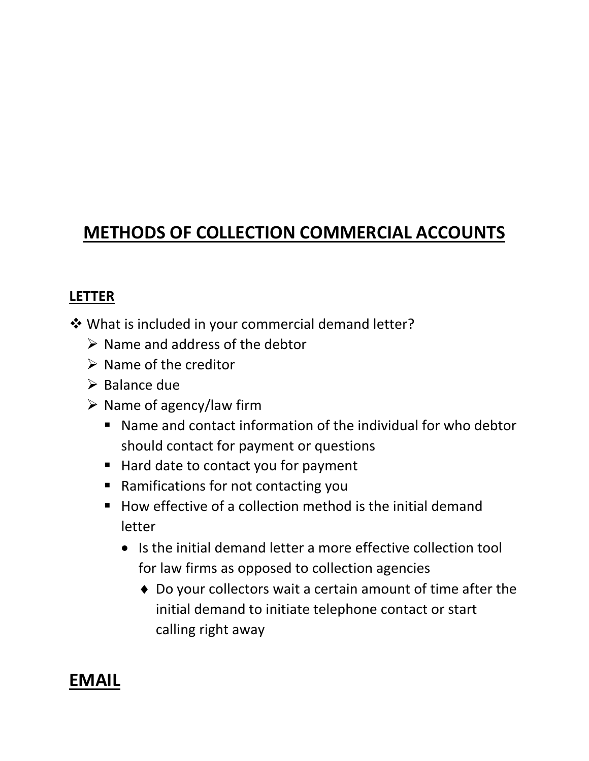## **METHODS OF COLLECTION COMMERCIAL ACCOUNTS**

#### **LETTER**

What is included in your commercial demand letter?

- $\triangleright$  Name and address of the debtor
- $\triangleright$  Name of the creditor
- $\triangleright$  Balance due
- $\triangleright$  Name of agency/law firm
	- Name and contact information of the individual for who debtor should contact for payment or questions
	- Hard date to contact you for payment
	- Ramifications for not contacting you
	- $\blacksquare$  How effective of a collection method is the initial demand letter
		- Is the initial demand letter a more effective collection tool for law firms as opposed to collection agencies
			- ♦ Do your collectors wait a certain amount of time after the initial demand to initiate telephone contact or start calling right away

## **EMAIL**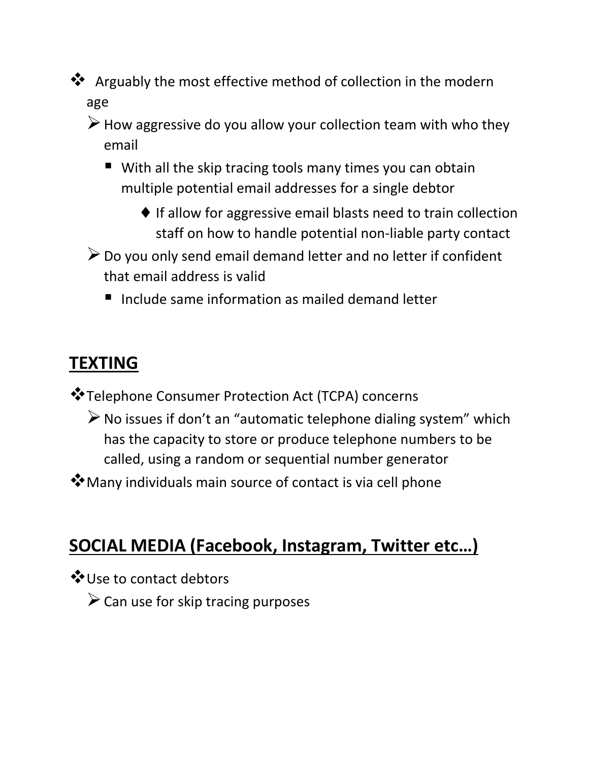**\*** Arguably the most effective method of collection in the modern age

 $\triangleright$  How aggressive do you allow your collection team with who they email

- With all the skip tracing tools many times you can obtain multiple potential email addresses for a single debtor
	- $\blacklozenge$  If allow for aggressive email blasts need to train collection staff on how to handle potential non-liable party contact
- $\triangleright$  Do you only send email demand letter and no letter if confident that email address is valid
	- $\blacksquare$  Include same information as mailed demand letter

## **TEXTING**

- Telephone Consumer Protection Act (TCPA) concerns
	- $\triangleright$  No issues if don't an "automatic telephone dialing system" which has the capacity to store or produce telephone numbers to be called, using a random or sequential number generator
- Many individuals main source of contact is via cell phone

## **SOCIAL MEDIA (Facebook, Instagram, Twitter etc…)**

- Use to contact debtors
	- $\triangleright$  Can use for skip tracing purposes